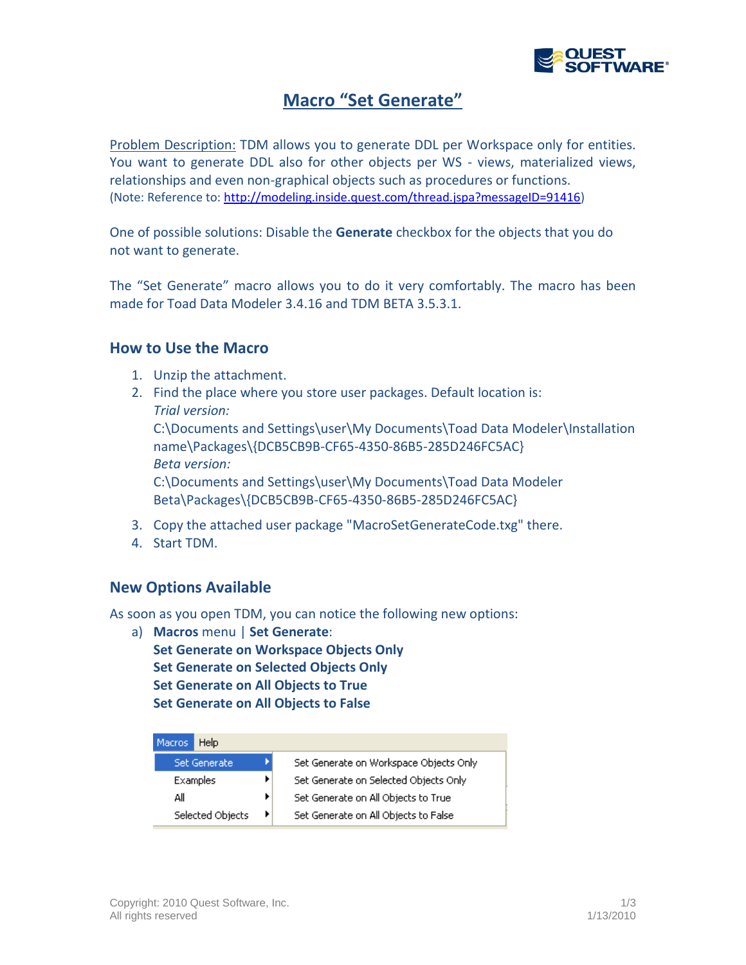

# **Macro "Set Generate"**

Problem Description: TDM allows you to generate DDL per Workspace only for entities. You want to generate DDL also for other objects per WS - views, materialized views, relationships and even non-graphical objects such as procedures or functions. (Note: Reference to[: http://modeling.inside.quest.com/thread.jspa?messageID=91416\)](http://modeling.inside.quest.com/thread.jspa?messageID=91416)

One of possible solutions: Disable the **Generate** checkbox for the objects that you do not want to generate.

The "Set Generate" macro allows you to do it very comfortably. The macro has been made for Toad Data Modeler 3.4.16 and TDM BETA 3.5.3.1.

#### **How to Use the Macro**

- 1. Unzip the attachment.
- 2. Find the place where you store user packages. Default location is: *Trial version:*

C:\Documents and Settings\user\My Documents\Toad Data Modeler\Installation name\Packages\{DCB5CB9B-CF65-4350-86B5-285D246FC5AC} *Beta version:*

C:\Documents and Settings\user\My Documents\Toad Data Modeler Beta\Packages\{DCB5CB9B-CF65-4350-86B5-285D246FC5AC}

- 3. Copy the attached user package "MacroSetGenerateCode.txg" there.
- 4. Start TDM.

## **New Options Available**

As soon as you open TDM, you can notice the following new options:

a) **Macros** menu | **Set Generate**: **Set Generate on Workspace Objects Only Set Generate on Selected Objects Only Set Generate on All Objects to True Set Generate on All Objects to False**

| Macros           | Help                |  |                                        |
|------------------|---------------------|--|----------------------------------------|
|                  | <b>Set Generate</b> |  | Set Generate on Workspace Objects Only |
| Examples         |                     |  | Set Generate on Selected Objects Only  |
| All              |                     |  | Set Generate on All Objects to True    |
| Selected Objects |                     |  | Set Generate on All Objects to False   |
|                  |                     |  |                                        |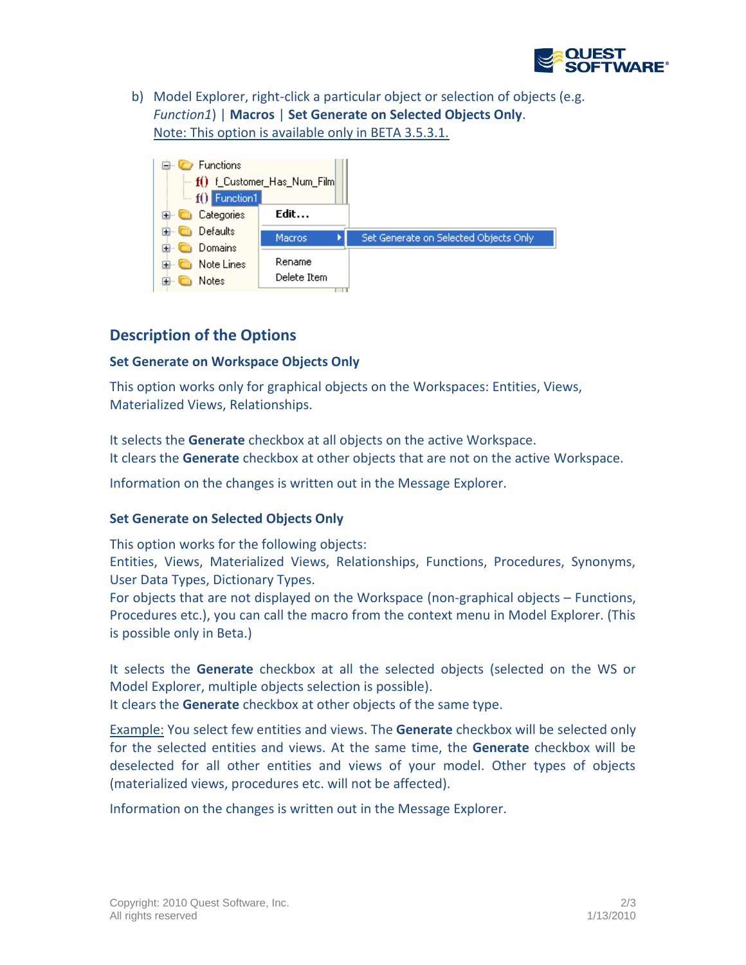

b) Model Explorer, right-click a particular object or selection of objects (e.g. *Function1*) | **Macros** | **Set Generate on Selected Objects Only**. Note: This option is available only in BETA 3.5.3.1.



# **Description of the Options**

#### **Set Generate on Workspace Objects Only**

This option works only for graphical objects on the Workspaces: Entities, Views, Materialized Views, Relationships.

It selects the **Generate** checkbox at all objects on the active Workspace. It clears the **Generate** checkbox at other objects that are not on the active Workspace.

Information on the changes is written out in the Message Explorer.

## **Set Generate on Selected Objects Only**

This option works for the following objects:

Entities, Views, Materialized Views, Relationships, Functions, Procedures, Synonyms, User Data Types, Dictionary Types.

For objects that are not displayed on the Workspace (non-graphical objects – Functions, Procedures etc.), you can call the macro from the context menu in Model Explorer. (This is possible only in Beta.)

It selects the **Generate** checkbox at all the selected objects (selected on the WS or Model Explorer, multiple objects selection is possible).

It clears the **Generate** checkbox at other objects of the same type.

Example: You select few entities and views. The **Generate** checkbox will be selected only for the selected entities and views. At the same time, the **Generate** checkbox will be deselected for all other entities and views of your model. Other types of objects (materialized views, procedures etc. will not be affected).

Information on the changes is written out in the Message Explorer.